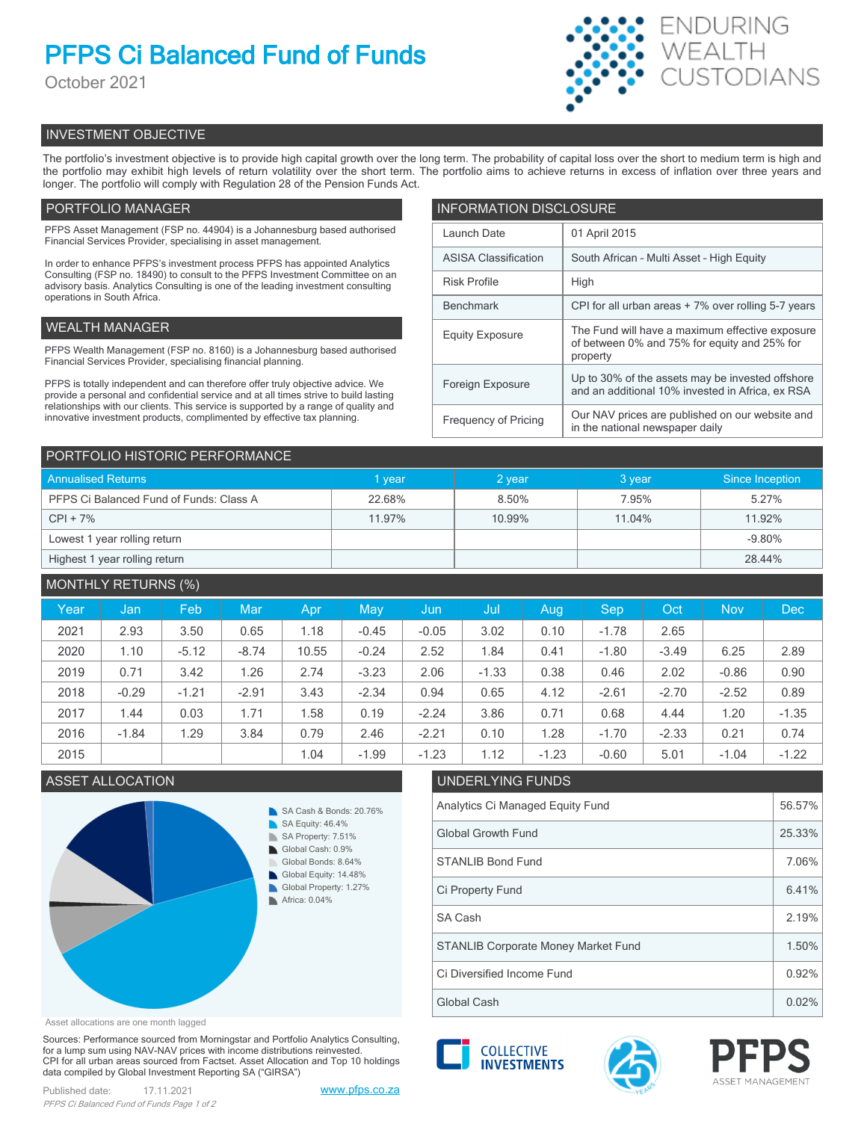# **PFPS Ci Balanced Fund of Funds**

October 2021



## INVESTMENT OBJECTIVE

The portfolio's investment objective is to provide high capital growth over the long term. The probability of capital loss over the short to medium term is high and the portfolio may exhibit high levels of return volatility over the short term. The portfolio aims to achieve returns in excess of inflation over three years and longer. The portfolio will comply with Regulation 28 of the Pension Funds Act.

## PORTFOLIO MANAGER

PFPS Asset Management (FSP no. 44904) is a Johannesburg based authorised Financial Services Provider, specialising in asset management.

In order to enhance PFPS's investment process PFPS has appointed Analytics Consulting (FSP no. 18490) to consult to the PFPS Investment Committee on an advisory basis. Analytics Consulting is one of the leading investment consulting operations in South Africa.

## WEALTH MANAGER

PFPS Wealth Management (FSP no. 8160) is a Johannesburg based authorised Financial Services Provider, specialising financial planning.

PFPS is totally independent and can therefore offer truly objective advice. We provide a personal and confidential service and at all times strive to build lasting relationships with our clients. This service is supported by a range of quality and innovative investment products, complimented by effective tax planning.

| <b>INFORMATION DISCLOSURE</b> |                                                                                                             |  |  |  |  |
|-------------------------------|-------------------------------------------------------------------------------------------------------------|--|--|--|--|
| Launch Date                   | 01 April 2015                                                                                               |  |  |  |  |
| <b>ASISA Classification</b>   | South African - Multi Asset - High Equity                                                                   |  |  |  |  |
| <b>Risk Profile</b>           | High                                                                                                        |  |  |  |  |
| <b>Benchmark</b>              | CPI for all urban areas + 7% over rolling 5-7 years                                                         |  |  |  |  |
| <b>Equity Exposure</b>        | The Fund will have a maximum effective exposure<br>of between 0% and 75% for equity and 25% for<br>property |  |  |  |  |
| Foreign Exposure              | Up to 30% of the assets may be invested offshore<br>and an additional 10% invested in Africa, ex RSA        |  |  |  |  |
| <b>Frequency of Pricing</b>   | Our NAV prices are published on our website and<br>in the national newspaper daily                          |  |  |  |  |

| PORTFOLIO HISTORIC PERFORMANCE          |             |        |        |                 |  |  |  |
|-----------------------------------------|-------------|--------|--------|-----------------|--|--|--|
| <b>Annualised Returns</b>               | <b>vear</b> | 2 year | 3 year | Since Inception |  |  |  |
| PFPS Ci Balanced Fund of Funds: Class A | 22.68%      | 8.50%  | 7.95%  | 5.27%           |  |  |  |
| $CPI + 7%$                              | 11.97%      | 10.99% | 11.04% | 11.92%          |  |  |  |
| Lowest 1 year rolling return            |             |        |        | $-9.80%$        |  |  |  |
| Highest 1 year rolling return           |             |        |        | 28.44%          |  |  |  |

| <b>MONTHLY RETURNS (%)</b> |         |         |         |       |         |         |         |         |         |         |            |         |
|----------------------------|---------|---------|---------|-------|---------|---------|---------|---------|---------|---------|------------|---------|
| Year                       | Jan     | Feb     | Mar     | Apr   | May     | Jun     | Jul     | Aug     | Sep     | Oct     | <b>Nov</b> | Dec     |
| 2021                       | 2.93    | 3.50    | 0.65    | 1.18  | $-0.45$ | $-0.05$ | 3.02    | 0.10    | $-1.78$ | 2.65    |            |         |
| 2020                       | 1.10    | $-5.12$ | $-8.74$ | 10.55 | $-0.24$ | 2.52    | 1.84    | 0.41    | $-1.80$ | $-3.49$ | 6.25       | 2.89    |
| 2019                       | 0.71    | 3.42    | 1.26    | 2.74  | $-3.23$ | 2.06    | $-1.33$ | 0.38    | 0.46    | 2.02    | $-0.86$    | 0.90    |
| 2018                       | $-0.29$ | $-1.21$ | $-2.91$ | 3.43  | $-2.34$ | 0.94    | 0.65    | 4.12    | $-2.61$ | $-2.70$ | $-2.52$    | 0.89    |
| 2017                       | 1.44    | 0.03    | 1.71    | .58   | 0.19    | $-2.24$ | 3.86    | 0.71    | 0.68    | 4.44    | 1.20       | $-1.35$ |
| 2016                       | $-1.84$ | 1.29    | 3.84    | 0.79  | 2.46    | $-2.21$ | 0.10    | 1.28    | $-1.70$ | $-2.33$ | 0.21       | 0.74    |
| 2015                       |         |         |         | 1.04  | $-1.99$ | $-1.23$ | 1.12    | $-1.23$ | $-0.60$ | 5.01    | $-1.04$    | $-1.22$ |



## ASSET ALLOCATION UNDERLYING FUNDS Analytics Ci Managed Equity Fund 56.57% Global Growth Fund 25.33% STANLIB Bond Fund 7.06% SA Cash 2.19% Ci Property Fund 6.41% Ci Diversified Income Fund 0.92% STANLIB Corporate Money Market Fund 1.50%

Asset allocations are one month lagged

Sources: Performance sourced from Morningstar and Portfolio Analytics Consulting, for a lump sum using NAV-NAV prices with income distributions reinvested. CPI for all urban areas sourced from Factset. Asset Allocation and Top 10 holdings data compiled by Global Investment Reporting SA ("GIRSA")





Global Cash  $\vert$  0.02%